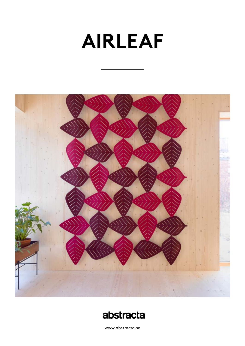## **AIRLEAF**





www.abstracta.se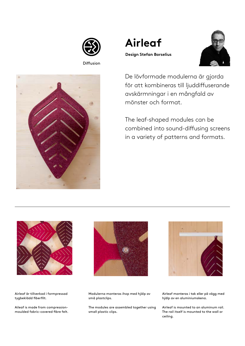

Diffusion

**Airleaf Design Stefan Borselius**



De lövformade modulerna är gjorda för att kombineras till ljuddiffuserande avskärmningar i en mångfald av mönster och format.

The leaf-shaped modules can be combined into sound-diffusing screens in a variety of patterns and formats.





Airleaf är tillverkad i formpressad tygbeklädd fiberfilt.

Aileaf is made from compressionmoulded fabric-covered fibre felt.





Modulerna monteras ihop med hjälp av små plastclips.

The modules are assembled together using small plastic clips.

Airleaf monteras i tak eller på vägg med hjälp av en aluminiumskena.

Airleaf is mounted to an aluminum rail. The rail itself is mounted to the wall or ceiling.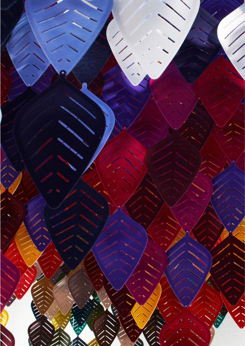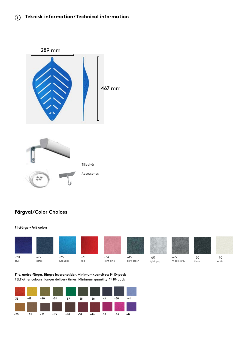

## **Färgval/Color Choices**

## **Filtfärger/Felt colors**



FELT other colours, longer delivery times. Minimum quantity: 1\* 10-pack **Filt, andra färger, längre leveranstider. Minimumkvantitet: 1\* 10-pack** 

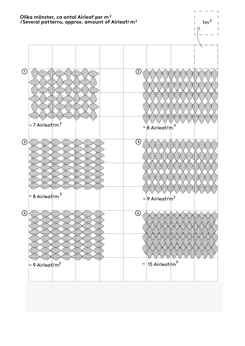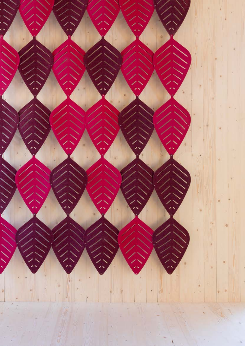